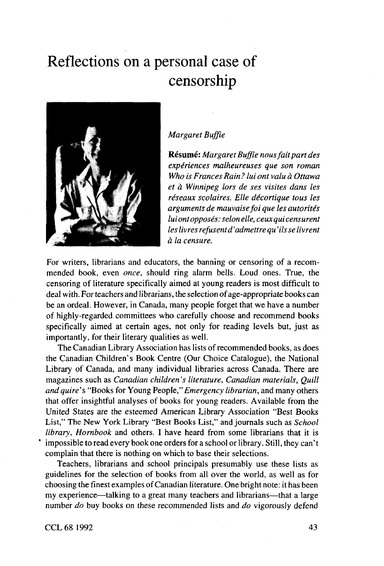## Reflections on a personal case of censorship



## *Margaret Buffie*

**Resume:** *Margaret Buffie nous fait part des experiences malheureuses que son roman Who is Frances Rain? lui ont valu a Ottawa et & Winnipeg lors de ses visites dans les reseaux scolaires. Elle decortique tous les arguments de mauvaisefoi que les autorites lui ont opposes: selon elle, ceuxqui censurent les livres refusentd'admettre qu 'Us se livrent a la censure.*

For writers, librarians and educators, the banning or censoring of a recommended book, even *once,* should ring alarm bells. Loud ones. True, the censoring of literature specifically aimed at young readers is most difficult to deal with. For teachers and librarians, the selection of age-appropriate books can be an ordeal. However, in Canada, many people forget that we have a number of highly-regarded committees who carefully choose and recommend books specifically aimed at certain ages, not only for reading levels but, just as importantly, for their literary qualities as well.

The Canadian Library Association has lists of recommended books, as does the Canadian Children's Book Centre (Our Choice Catalogue), the National Library of Canada, and many individual libraries across Canada. There are magazines such as *Canadian children's literature, Canadian materials. Quill and quire's* "Books for Young People," *Emergency librarian,* and many others that offer insightful analyses of books for young readers. Available from the United States are the esteemed American Library Association "Best Books List," The New York Library "Best Books List," and journals such as *School library. Hornbook* and others. I have heard from some librarians that it is impossible to read every book one orders for a school or library. Still, they can't complain that there is nothing on which to base their selections.

Teachers, librarians and school principals presumably use these lists as guidelines for the selection of books from all over the world, as well as for choosing the finest examples of Canadian literature. One bright note: it has been my experience—talking to a great many teachers and librarians—that a large number *do* buy books on these recommended lists and *do* vigorously defend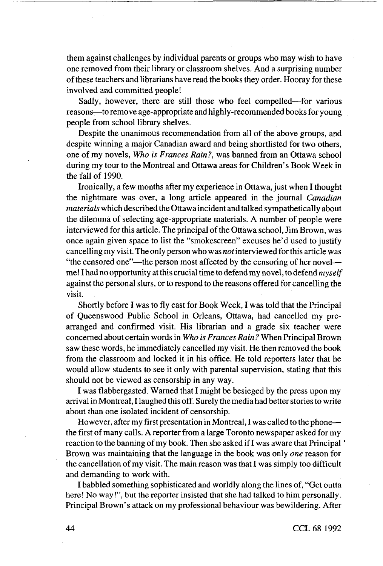them against challenges by individual parents or groups who may wish to have one removed from their library or classroom shelves. And a surprising number of these teachers and librarians have read the books they order. Hooray for these involved and committed people!

Sadly, however, there are still those who feel compelled—for various reasons—to remove age-appropriate and highly-recommended books for young people from school library shelves.

Despite the unanimous recommendation from all of the above groups, and despite winning a major Canadian award and being shortlisted for two others, one of my novels, *Who is Frances Rain?,* was banned from an Ottawa school during my tour to the Montreal and Ottawa areas for Children's Book Week in the fall of 1990.

Ironically, a few months after my experience in Ottawa, just when I thought the nightmare was over, a long article appeared in the journal *Canadian materials* which described the Ottawa incident and talked sympathetically about the dilemma of selecting age-appropriate materials. A number of people were interviewed for this article. The principal of the Ottawa school, Jim Brown, was once again given space to list the "smokescreen" excuses he'd used to justify cancelling my visit. The only person who was norinterviewed for this article was "the censored one"—the person most affected by the censoring of her novel me! I had no opportunity at this crucial time to defend my novel, to defend *myself* against the personal slurs, or to respond to the reasons offered for cancelling the visit.

Shortly before I was to fly east for Book Week, I was told that the Principal of Queenswood Public School in Orleans, Ottawa, had cancelled my prearranged and confirmed visit. His librarian and a grade six teacher were concerned about certain words in *Who is Frances Rain ?* When Principal Brown saw these words, he immediately cancelled my visit. He then removed the book from the classroom and locked it in his office. He told reporters later that he would allow students to see it only with parental supervision, stating that this should not be viewed as censorship in any way.

I was flabbergasted. Warned that I might be besieged by the press upon my arrival in Montreal, I laughed this off. Surely the media had better stories to write about than one isolated incident of censorship.

However, after my first presentation in Montreal, I was called to the phone the first of many calls. A reporter from a large Toronto newspaper asked for my reaction to the banning of my book. Then she asked if I was aware that Principal' Brown was maintaining that the language in the book was only *one* reason for the cancellation of my visit. The main reason was that I was simply too difficult and demanding to work with.

I babbled something sophisticated and worldly along the lines of, "Get outta here! No way!", but the reporter insisted that she had talked to him personally. Principal Brown's attack on my professional behaviour was bewildering. After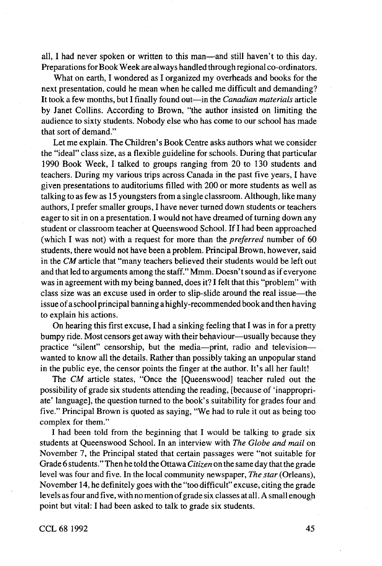all, I had never spoken or written to this man—and still haven't to this day. Preparations for Book Week are always handled through regional co-ordinators.

What on earth, I wondered as I organized my overheads and books for the next presentation, could he mean when he called me difficult and demanding? **It** took a few months, but I finally found out—in the *Canadian materials* article by Janet Collins. According to Brown, "the author insisted on limiting the audience to sixty students. Nobody else who has come to our school has made that sort of demand."

Let me explain. The Children's Book Centre asks authors what we consider the "ideal" class size, as a flexible guideline for schools. During that particular 1990 Book Week, I talked to groups ranging from 20 to 130 students and teachers. During my various trips across Canada in the past five years, I have given presentations to auditoriums filled with 200 or more students as well as talking to as few as 15 youngsters from a single classroom. Although, like many authors, I prefer smaller groups, I have never turned down students or teachers eager to sit in on a presentation. I would not have dreamed of turning down any student or classroom teacher at Queenswood School. If I had been approached (which I was not) with a request for more than the *preferred* number of 60 students, there would not have been a problem. Principal Brown, however, said in the *CM* article that "many teachers believed their students would be left out and that led to arguments among the staff." Mmm. Doesn't sound as if everyone was in agreement with my being banned, does it? I felt that this "problem" with class size was an excuse used in order to slip-slide around the real issue—the issue of a school principal banning a highly-recommended book and then having to explain his actions.

On hearing this first excuse, I had a sinking feeling that I was in for a pretty bumpy ride. Most censors get away with their behaviour—usually because they practice "silent" censorship, but the media—print, radio and television wanted to know all the details. Rather than possibly taking an unpopular stand in the public eye, the censor points the finger at the author. It's all her fault!

The *CM* article states, "Once the [Queenswood] teacher ruled out the possibility of grade six students attending the reading, [because of 'inappropriate' language], the question turned to the book's suitability for grades four and five." Principal Brown is quoted as saying, "We had to rule it out as being too complex for them."

I had been told from the beginning that I would be talking to grade six students at Queenswood School. In an interview with *The Globe and mail* on November 7, the Principal stated that certain passages were "not suitable for Grade 6 students." Then he told the Ottawa *Citizen* on the same day that the grade level was four and five. In the local community newspaper, *The star* (Orleans), November 14, he definitely goes with the "too difficult" excuse, citing the grade levels as four and five, with no mention of grade six classes at all. A small enough point but vital: I had been asked to talk to grade six students.

CCL 68 1992 45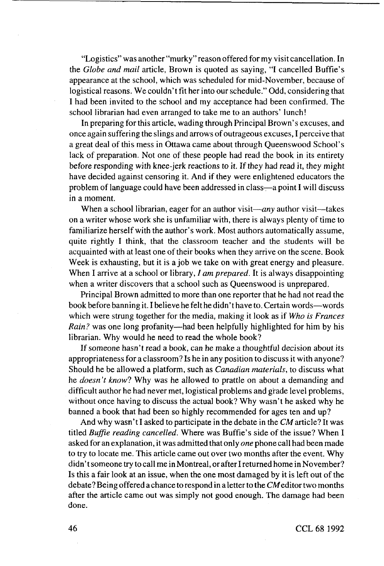"Logistics" was another "murky" reason offered for my visit cancellation. In the *Globe and mail* article, Brown is quoted as saying, "I cancelled Buffie's appearance at the school, which was scheduled for mid-November, because of logistical reasons. We couldn't fit her into our schedule." Odd, considering that I had been invited to the school and my acceptance had been confirmed. The school librarian had even arranged to take me to an authors' lunch!

In preparing for this article, wading through Principal Brown's excuses, and once again suffering the slings and arrows of outrageous excuses, I perceive that a great deal of this mess in Ottawa came about through Queenswood School's lack of preparation. Not one of these people had read the book in its entirety before responding with knee-jerk reactions to it. If they had read it, they might have decided against censoring it. And if they were enlightened educators the problem of language could have been addressed in class—a point I will discuss in a moment.

When a school librarian, eager for an author visit—*any* author visit—takes on a writer whose work she is unfamiliar with, there is always plenty of time to familiarize herself with the author's work. Most authors automatically assume, quite rightly I think, that the classroom teacher and the students will be acquainted with at least one of their books when they arrive on the scene. Book Week is exhausting, but it is a job we take on with great energy and pleasure. When I arrive at a school or library, *I am prepared*. It is always disappointing when a writer discovers that a school such as Queenswood is unprepared.

Principal Brown admitted to more than one reporter that he had not read the book before banning it. I believe he felt he didn't have to. Certain words—words which were strung together for the media, making it look as if *Who is Frances Rain?* was one long profanity—had been helpfully highlighted for him by his librarian. Why would he need to read the whole book?

If someone hasn't read a book, can he make a thoughtful decision about its appropriateness for a classroom? Is he in any position to discuss it with anyone? Should he be allowed a platform, such as *Canadian materials,* to discuss what he *doesn 't know7* Why was he allowed to prattle on about a demanding and difficult author he had never met, logistical problems and grade level problems, without once having to discuss the actual book? Why wasn't he asked why he banned a book that had been so highly recommended for ages ten and up?

And why wasn't I asked to participate in the debate in the *CM* article? It was titled *Buffie reading cancelled.* Where was Buffie's side of the issue? When I asked for an explanation, it was admitted that only *one* phone call had been made to try to locate me. This article came out over two months after the event. Why didn't someone try to call me in Montreal, or after I returned home in November? Is this a fair look at an issue, when the one most damaged by it is left out of the debate? Being offered a chance to respond in a letter to the *CM* editor two months after the article came out was simply not good enough. The damage had been done.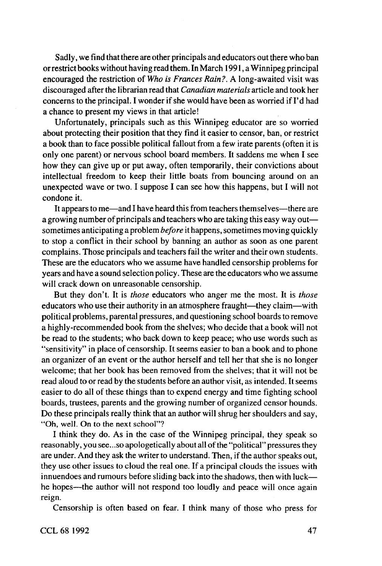Sadly, we find that there are other principals and educators out there who ban or restrict books without having read them. In March 1991, a Winnipeg principal encouraged the restriction of *Who is Frances Rain?.* A long-awaited visit was discouraged after the librarian read that *Canadian materials* article and took her concerns to the principal. I wonder if she would have been as worried if I'd had a chance to present my views in that article!

Unfortunately, principals such as this Winnipeg educator are so worried about protecting their position that they find it easier to censor, ban, or restrict a book than to face possible political fallout from a few irate parents (often it is only one parent) or nervous school board members. It saddens me when I see how they can give up or put away, often temporarily, their convictions about intellectual freedom to keep their little boats from bouncing around on an unexpected wave or two. I suppose I can see how this happens, but I will not condone it.

It appears to me—and I have heard this from teachers themselves—there are a growing number of principals and teachers who are taking this easy way out sometimes anticipating a problem *before* it happens, sometimes moving quickly to stop a conflict in their school by banning an author as soon as one parent complains. Those principals and teachers fail the writer and their own students. These are the educators who we assume have handled censorship problems for years and have a sound selection policy. These are the educators who we assume will crack down on unreasonable censorship.

But they don't. It is *those* educators who anger me the most. It is *those* educators who use their authority in an atmosphere fraught—they claim—with political problems, parental pressures, and questioning school boards to remove a highly-recommended book from the shelves; who decide that a book will not be read to the students; who back down to keep peace; who use words such as "sensitivity" in place of censorship. It seems easier to ban a book and to phone an organizer of an event or the author herself and tell her that she is no longer welcome; that her book has been removed from the shelves; that it will not be read aloud to or read by the students before an author visit, as intended. It seems easier to do all of these things than to expend energy and time fighting school boards, trustees, parents and the growing number of organized censor hounds. Do these principals really think that an author will shrug her shoulders and say, "Oh, well. On to the next school"?

I think they do. As in the case of the Winnipeg principal, they speak so reasonably, you see...so apologetically about all of the "political" pressures they are under. And they ask the writer to understand. Then, if the author speaks out, they use other issues to cloud the real one. If a principal clouds the issues with innuendoes and rumours before sliding back into the shadows, then with luck he hopes—the author will not respond too loudly and peace will once again reign.

Censorship is often based on fear. I think many of those who press for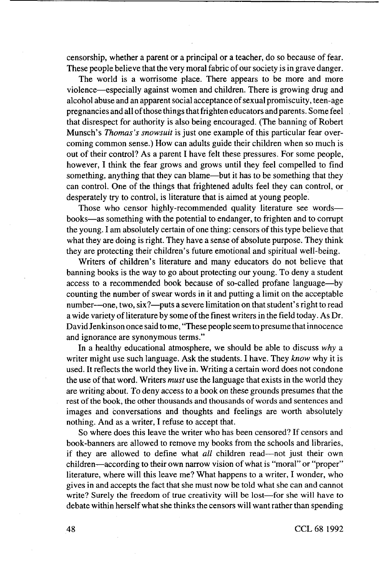censorship, whether a parent or a principal or a teacher, do so because of fear. These people believe that the very moral fabric of our society is in grave danger.

The world is a worrisome place. There appears to be more and more violence—especially against women and children. There is growing drug and alcohol abuse and an apparent social acceptance of sexual promiscuity, teen-age pregnancies and all of those things that frighten educators and parents. Some feel that disrespect for authority is also being encouraged. (The banning of Robert Munsch's *Thomas's snowsuit* is just one example of this particular fear overcoming common sense.) How can adults guide their children when so much is out of their control? As a parent I have felt these pressures. For some people, however, I think the fear grows and grows until they feel compelled to find something, anything that they can blame—but it has to be something that they can control. One of the things that frightened adults feel they can control, or desperately try to control, is literature that is aimed at young people.

Those who censor highly-recommended quality literature see words books—as something with the potential to endanger, to frighten and to corrupt the young. I am absolutely certain of one thing: censors of this type believe that what they are doing is right. They have a sense of absolute purpose. They think they are protecting their children's future emotional and spiritual well-being.

Writers of children's literature and many educators do not believe that banning books is the way to go about protecting our young. To deny a student access to a recommended book because of so-called profane language—by counting the number of swear words in it and putting a limit on the acceptable number—one, two, six?—puts a severe limitation on that student's right to read a wide variety of literature by some of the finest writers in the field today. As Dr. David Jenkinson once said to me, "These people seem to presume that innocence and ignorance are synonymous terms."

In a healthy educational atmosphere, we should be able to discuss *why* a writer might use such language. Ask the students. I have. They *know* why it is used. It reflects the world they live in. Writing a certain word does not condone the use of that word. Writers *must* use the language that exists in the world they are writing about. To deny access to a book on these grounds presumes that the rest of the book, the other thousands and thousands of words and sentences and images and conversations and thoughts and feelings are worth absolutely nothing. And as a writer, I refuse to accept that.

So where does this leave the writer who has been censored? If censors and book-banners are allowed to remove my books from the schools and libraries, if they are allowed to define what *all* children read—not just their own children—according to their own narrow vision of what is "moral" or "proper" literature, where will this leave me? What happens to a writer, I wonder, who gives in and accepts the fact that she must now be told what she can and cannot write? Surely the freedom of true creativity will be lost—for she will have to debate within herself what she thinks the censors will want rather than spending